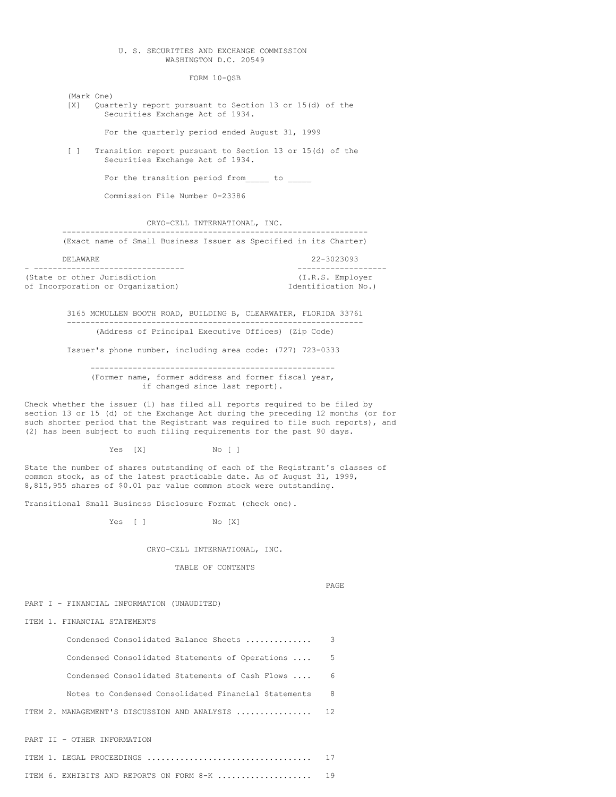# U. S. SECURITIES AND EXCHANGE COMMISSION WASHINGTON D.C. 20549

FORM 10-QSB

(Mark One) [X] Quarterly report pursuant to Section 13 or 15(d) of the Securities Exchange Act of 1934.

For the quarterly period ended August 31, 1999

[ ] Transition report pursuant to Section 13 or 15(d) of the Securities Exchange Act of 1934.

For the transition period from to

Commission File Number 0-23386

CRYO-CELL INTERNATIONAL, INC. -----------------------------------------------------------------

(Exact name of Small Business Issuer as Specified in its Charter)

DELAWARE 22-3023093

- -------------------------------- ------------------- (State or other Jurisdiction (I.R.S. Employer<br>
of Incorporation or Organization) (Identification No.) of Incorporation or Organization)

> 3165 MCMULLEN BOOTH ROAD, BUILDING B, CLEARWATER, FLORIDA 33761 --------------------------------------------------------------- (Address of Principal Executive Offices) (Zip Code)

Issuer's phone number, including area code: (727) 723-0333

---------------------------------------------------- (Former name, former address and former fiscal year, if changed since last report).

Check whether the issuer (1) has filed all reports required to be filed by section 13 or 15 (d) of the Exchange Act during the preceding 12 months (or for such shorter period that the Registrant was required to file such reports), and (2) has been subject to such filing requirements for the past 90 days.

Yes [X] No [ ]

State the number of shares outstanding of each of the Registrant's classes of common stock, as of the latest practicable date. As of August 31, 1999, 8,815,955 shares of \$0.01 par value common stock were outstanding.

Transitional Small Business Disclosure Format (check one).

Yes [ ] No [X]

CRYO-CELL INTERNATIONAL, INC.

TABLE OF CONTENTS

PAGE

PART I - FINANCIAL INFORMATION (UNAUDITED)

ITEM 1. FINANCIAL STATEMENTS

| Condensed Consolidated Balance Sheets                | 3  |
|------------------------------------------------------|----|
| Condensed Consolidated Statements of Operations      | .5 |
| Condensed Consolidated Statements of Cash Flows      | 6  |
| Notes to Condensed Consolidated Financial Statements | 8  |
| ITEM 2. MANAGEMENT'S DISCUSSION AND ANALYSIS         | 12 |
| PART II - OTHER INFORMATION                          |    |
|                                                      |    |

ITEM 6. EXHIBITS AND REPORTS ON FORM 8-K .................... 19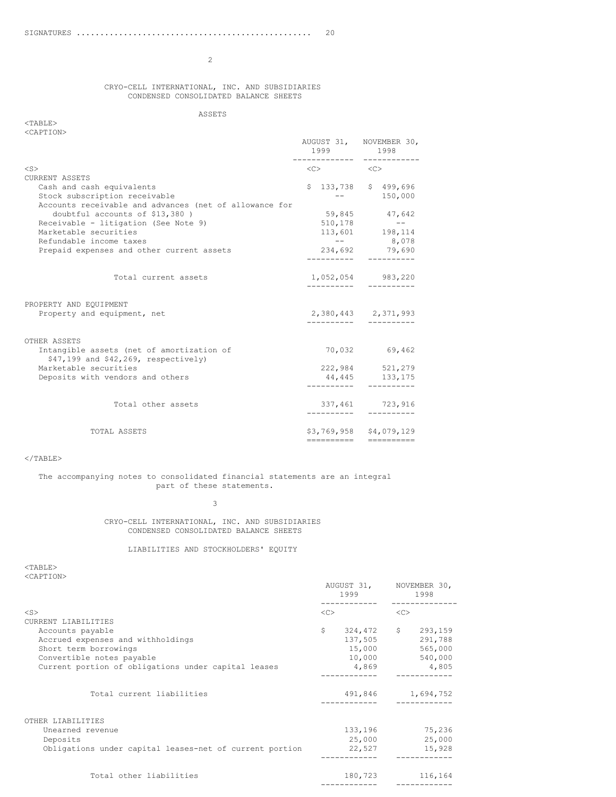### CRYO-CELL INTERNATIONAL, INC. AND SUBSIDIARIES CONDENSED CONSOLIDATED BALANCE SHEETS

# ASSETS

# <TABLE> <CAPTION>

|                                                                                      | 1999                                    | AUGUST 31, NOVEMBER 30,<br>1998 |
|--------------------------------------------------------------------------------------|-----------------------------------------|---------------------------------|
| $<$ S>                                                                               | $\langle C \rangle$ $\langle C \rangle$ |                                 |
| <b>CURRENT ASSETS</b>                                                                |                                         |                                 |
| Cash and cash equivalents                                                            |                                         | \$133,738 \$499,696             |
| Stock subscription receivable                                                        |                                         | 150,000                         |
| Accounts receivable and advances (net of allowance for                               |                                         |                                 |
| doubtful accounts of \$13,380)                                                       |                                         | 59,845 47,642                   |
| Receivable - litigation (See Note 9)                                                 | 510,178                                 | $\sim$ $ -$                     |
| Marketable securities                                                                |                                         | $113,601$ 198,114               |
| Refundable income taxes                                                              |                                         | $--$ 8,078                      |
| Prepaid expenses and other current assets                                            |                                         | 234,692 79,690                  |
|                                                                                      |                                         |                                 |
| Total current assets                                                                 |                                         | 1,052,054 983,220               |
|                                                                                      |                                         |                                 |
| PROPERTY AND EQUIPMENT                                                               |                                         |                                 |
| Property and equipment, net                                                          |                                         | 2,380,443 2,371,993             |
|                                                                                      | -----------                             |                                 |
| OTHER ASSETS                                                                         |                                         |                                 |
| Intangible assets (net of amortization of<br>$$47,199$ and $$42,269$ , respectively) |                                         | 70,032 69,462                   |
| Marketable securities                                                                |                                         | 222,984 521,279                 |
| Deposits with vendors and others                                                     |                                         | 44,445 133,175                  |
|                                                                                      |                                         | ----------- ----------          |
| Total other assets                                                                   |                                         | 337,461 723,916                 |
|                                                                                      | -----------                             |                                 |
| TOTAL ASSETS                                                                         |                                         | \$3,769,958 \$4,079,129         |
|                                                                                      |                                         |                                 |
|                                                                                      |                                         |                                 |

# $\rm <$  /TABLE>

# The accompanying notes to consolidated financial statements are an integral part of these statements.

3

CRYO-CELL INTERNATIONAL, INC. AND SUBSIDIARIES CONDENSED CONSOLIDATED BALANCE SHEETS

# LIABILITIES AND STOCKHOLDERS' EQUITY

<TABLE> <CAPTION>

| NUILL LEUIV                                             |    | AUGUST 31, NOVEMBER 30,<br>1999 |              | 1998              |
|---------------------------------------------------------|----|---------------------------------|--------------|-------------------|
| $<$ S $>$                                               | << |                                 | <<           |                   |
| CURRENT LIABILITIES                                     |    |                                 |              |                   |
| Accounts payable                                        | \$ | 324,472                         | $\mathsf{S}$ | 293,159           |
| Accrued expenses and withholdings                       |    | 137,505                         |              | 291,788           |
| Short term borrowings                                   |    | 15,000                          |              | 565,000           |
| Convertible notes payable                               |    | 10,000                          |              | 540,000           |
| Current portion of obligations under capital leases     |    | 4,869                           |              | 4,805             |
|                                                         |    |                                 |              |                   |
| Total current liabilities                               |    |                                 |              | 491,846 1,694,752 |
| OTHER LIABILITIES                                       |    |                                 |              |                   |
| Unearned revenue                                        |    | 133,196                         |              | 75,236            |
| Deposits                                                |    | 25,000                          |              | 25,000            |
| Obligations under capital leases-net of current portion |    | 22,527                          |              | 15,928            |
| Total other liabilities                                 |    | 180,723                         |              | 116,164           |

------------ ------------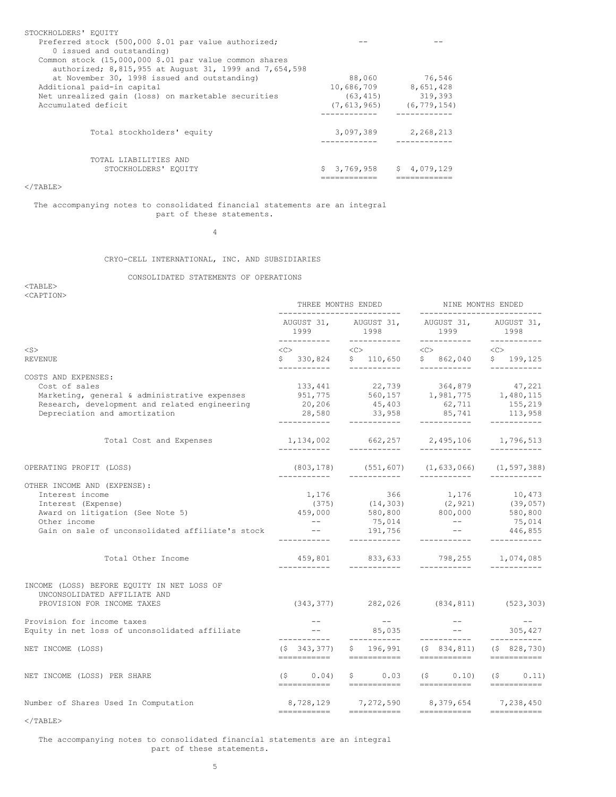| STOCKHOLDERS' EQUITY<br>Preferred stock (500,000 \$.01 par value authorized;<br>0 issued and outstanding)<br>Common stock $(15,000,000 \t; .01$ par value common shares<br>authorized; 8,815,955 at August 31, 1999 and 7,654,598 |                 |               |
|-----------------------------------------------------------------------------------------------------------------------------------------------------------------------------------------------------------------------------------|-----------------|---------------|
| at November 30, 1998 issued and outstanding)                                                                                                                                                                                      | 88,060          | 76,546        |
| Additional paid-in capital                                                                                                                                                                                                        | 10,686,709      | 8,651,428     |
| Net unrealized gain (loss) on marketable securities                                                                                                                                                                               | (63, 415)       | 319,393       |
| Accumulated deficit                                                                                                                                                                                                               | (7, 613, 965)   | (6, 779, 154) |
| Total stockholders' equity                                                                                                                                                                                                        | 3,097,389       | 2,268,213     |
| TOTAL LIABILITIES AND<br>STOCKHOLDERS' EQUITY                                                                                                                                                                                     | 3,769,958<br>S. | \$4,079,129   |

</TABLE>

#### The accompanying notes to consolidated financial statements are an integral part of these statements.

4

# CRYO-CELL INTERNATIONAL, INC. AND SUBSIDIARIES

# CONSOLIDATED STATEMENTS OF OPERATIONS

<TABLE> <CAPTION>

|                                                                                                                                                                        | THREE MONTHS ENDED<br>-------------------------- |                                                                                                                                                                                                                  | NINE MONTHS ENDED<br>----------------------                                          |                                                                                                                                                                                                                                                                                                                                                                                                                                                                                        |  |
|------------------------------------------------------------------------------------------------------------------------------------------------------------------------|--------------------------------------------------|------------------------------------------------------------------------------------------------------------------------------------------------------------------------------------------------------------------|--------------------------------------------------------------------------------------|----------------------------------------------------------------------------------------------------------------------------------------------------------------------------------------------------------------------------------------------------------------------------------------------------------------------------------------------------------------------------------------------------------------------------------------------------------------------------------------|--|
|                                                                                                                                                                        | 1999 7                                           | AUGUST 31, AUGUST 31, AUGUST 31, AUGUST 31,<br>1998                                                                                                                                                              | 1999                                                                                 | 1998                                                                                                                                                                                                                                                                                                                                                                                                                                                                                   |  |
| $<$ S $>$                                                                                                                                                              | $\langle C \rangle$                              | $<<$ $<$ $<$ $>$                                                                                                                                                                                                 | $\langle C \rangle$                                                                  | < <c></c>                                                                                                                                                                                                                                                                                                                                                                                                                                                                              |  |
| <b>REVENUE</b>                                                                                                                                                         |                                                  | $$330,824$ $$110,650$                                                                                                                                                                                            | \$862,040                                                                            | \$199,125                                                                                                                                                                                                                                                                                                                                                                                                                                                                              |  |
| COSTS AND EXPENSES:<br>Cost of sales<br>Marketing, general & administrative expenses<br>Research, development and related engineering<br>Depreciation and amortization | ___________                                      | ____________<br>133,441 22,739 364,879 47,221<br>951,775 560,157 1,981,775 1,480,115<br>20,206 45,403 62,711 155,219<br>20,206   45,403   62,711   155,219<br>28,580   33,958   85,741   113,958<br>____________ | ------------<br>____________                                                         | ------------                                                                                                                                                                                                                                                                                                                                                                                                                                                                           |  |
| Total Cost and Expenses                                                                                                                                                | ------------                                     | 1, 134, 002 662, 257 2, 495, 106 1, 796, 513<br>------------                                                                                                                                                     |                                                                                      |                                                                                                                                                                                                                                                                                                                                                                                                                                                                                        |  |
| OPERATING PROFIT (LOSS)                                                                                                                                                | (803,178)<br>------------                        | (551, 607)<br>------------                                                                                                                                                                                       | (1, 633, 066)<br>------------                                                        | (1, 597, 388)                                                                                                                                                                                                                                                                                                                                                                                                                                                                          |  |
| OTHER INCOME AND (EXPENSE):                                                                                                                                            |                                                  |                                                                                                                                                                                                                  |                                                                                      |                                                                                                                                                                                                                                                                                                                                                                                                                                                                                        |  |
| Interest income                                                                                                                                                        |                                                  | $1,176$ 366<br>(375) (14,303)                                                                                                                                                                                    | $(14,303) \qquad \qquad 1,176 \qquad \qquad 10,473$ $(2,921) \qquad \qquad (39,057)$ |                                                                                                                                                                                                                                                                                                                                                                                                                                                                                        |  |
| Interest (Expense)                                                                                                                                                     |                                                  |                                                                                                                                                                                                                  |                                                                                      |                                                                                                                                                                                                                                                                                                                                                                                                                                                                                        |  |
| Award on litigation (See Note 5)                                                                                                                                       |                                                  | 459,000 580,800 800,000 580,800                                                                                                                                                                                  |                                                                                      |                                                                                                                                                                                                                                                                                                                                                                                                                                                                                        |  |
| Other income<br>Gain on sale of unconsolidated affiliate's stock                                                                                                       | $\sim$ $ -$<br><b>Contract Contract Contract</b> | ___________                                                                                                                                                                                                      | $75,014$ --<br>191,756 --                                                            | 75,014<br>446,855<br>------------                                                                                                                                                                                                                                                                                                                                                                                                                                                      |  |
| Total Other Income                                                                                                                                                     |                                                  | 459,801 833,633 798,255 1,074,085                                                                                                                                                                                |                                                                                      |                                                                                                                                                                                                                                                                                                                                                                                                                                                                                        |  |
| INCOME (LOSS) BEFORE EQUITY IN NET LOSS OF<br>UNCONSOLIDATED AFFILIATE AND<br>PROVISION FOR INCOME TAXES                                                               |                                                  | $(343, 377)$ 282,026 (834,811) (523,303)                                                                                                                                                                         |                                                                                      |                                                                                                                                                                                                                                                                                                                                                                                                                                                                                        |  |
| Provision for income taxes                                                                                                                                             | $   \,$                                          | $\sim$ 100 $-$ 100 $-$                                                                                                                                                                                           | $\sim$ $  -$                                                                         | $- -$<br>305,427                                                                                                                                                                                                                                                                                                                                                                                                                                                                       |  |
| Equity in net loss of unconsolidated affiliate                                                                                                                         | ------------                                     | 85,035<br>___________                                                                                                                                                                                            | ------------                                                                         | ------------                                                                                                                                                                                                                                                                                                                                                                                                                                                                           |  |
| NET INCOME (LOSS)                                                                                                                                                      | $(S\ 343, 377)$                                  | ===========  ===========  ===========                                                                                                                                                                            | $$196,991$ $$834,811$ $$828,730$                                                     | $\begin{array}{cccccccccc} \multicolumn{2}{c}{} & \multicolumn{2}{c}{} & \multicolumn{2}{c}{} & \multicolumn{2}{c}{} & \multicolumn{2}{c}{} & \multicolumn{2}{c}{} & \multicolumn{2}{c}{} & \multicolumn{2}{c}{} & \multicolumn{2}{c}{} & \multicolumn{2}{c}{} & \multicolumn{2}{c}{} & \multicolumn{2}{c}{} & \multicolumn{2}{c}{} & \multicolumn{2}{c}{} & \multicolumn{2}{c}{} & \multicolumn{2}{c}{} & \multicolumn{2}{c}{} & \multicolumn{2}{c}{} & \multicolumn{2}{c}{} & \mult$ |  |
| NET INCOME (LOSS) PER SHARE                                                                                                                                            | (S<br>$0.04$ )                                   | $\begin{array}{ccc} \xi & 0.03 & \xi \end{array}$                                                                                                                                                                |                                                                                      | $0.10)$ (\$ 0.11)                                                                                                                                                                                                                                                                                                                                                                                                                                                                      |  |
| Number of Shares Used In Computation                                                                                                                                   |                                                  | 8,728,129 7,272,590 8,379,654 7,238,450                                                                                                                                                                          |                                                                                      |                                                                                                                                                                                                                                                                                                                                                                                                                                                                                        |  |
|                                                                                                                                                                        |                                                  |                                                                                                                                                                                                                  |                                                                                      |                                                                                                                                                                                                                                                                                                                                                                                                                                                                                        |  |

 $<$ /TABLE $>$ 

The accompanying notes to consolidated financial statements are an integral part of these statements.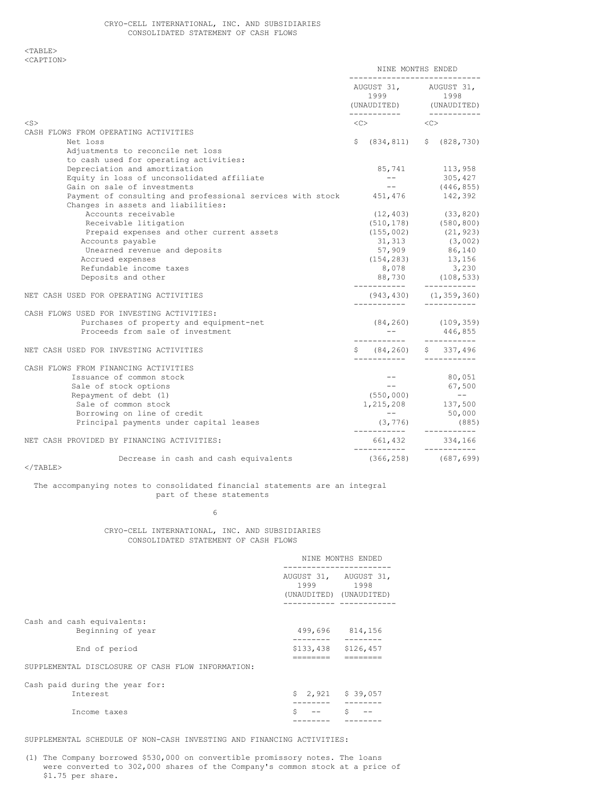<TABLE> <CAPTION>

|                                                                            | NINE MONTHS ENDED<br>---------------------------              |  |                                                            |
|----------------------------------------------------------------------------|---------------------------------------------------------------|--|------------------------------------------------------------|
|                                                                            | AUGUST 31, AUGUST 31,<br>1999 1998<br>(UNAUDITED) (UNAUDITED) |  |                                                            |
| $<$ S $>$                                                                  | $\text{}\qquad \qquad \text{}\qquad$                          |  |                                                            |
| CASH FLOWS FROM OPERATING ACTIVITIES                                       |                                                               |  |                                                            |
| Net loss                                                                   | \$ (834, 811) \$ (828, 730)                                   |  |                                                            |
| Adjustments to reconcile net loss                                          |                                                               |  |                                                            |
| to cash used for operating activities:                                     |                                                               |  |                                                            |
| Depreciation and amortization                                              | 85,741 113,958                                                |  |                                                            |
| Equity in loss of unconsolidated affiliate                                 | $\sim$ $  -$                                                  |  |                                                            |
| Gain on sale of investments                                                | <b>Contract Contract</b>                                      |  | $305, 427$<br>(446,855)                                    |
| Payment of consulting and professional services with stock 451,476 142,392 |                                                               |  |                                                            |
| Changes in assets and liabilities:                                         |                                                               |  |                                                            |
| Accounts receivable                                                        | $(12, 403)$ $(33, 820)$                                       |  |                                                            |
| Receivable litigation                                                      | $(510, 178)$ $(580, 800)$                                     |  |                                                            |
| Prepaid expenses and other current assets                                  |                                                               |  |                                                            |
| Accounts payable                                                           | $(155,002)$ $(21,923)$<br>31,313 $(3,002)$                    |  |                                                            |
| Unearned revenue and deposits                                              | $57,909$ 86,140                                               |  |                                                            |
| Accrued expenses                                                           |                                                               |  |                                                            |
| Refundable income taxes                                                    | $(154, 283)$ $13, 156$<br>8,078 $3, 230$                      |  |                                                            |
| Deposits and other                                                         | 88,730 (108,533)                                              |  |                                                            |
|                                                                            | ------------                                                  |  |                                                            |
| NET CASH USED FOR OPERATING ACTIVITIES                                     | $(943, 430)$ $(1, 359, 360)$                                  |  |                                                            |
| CASH FLOWS USED FOR INVESTING ACTIVITIES:                                  |                                                               |  |                                                            |
| Purchases of property and equipment-net                                    | $(84, 260)$ $(109, 359)$                                      |  |                                                            |
| Proceeds from sale of investment                                           |                                                               |  |                                                            |
|                                                                            |                                                               |  |                                                            |
| NET CASH USED FOR INVESTING ACTIVITIES                                     | $$ 84, 260$ \$ 337,496                                        |  |                                                            |
| CASH FLOWS FROM FINANCING ACTIVITIES                                       |                                                               |  |                                                            |
| Issuance of common stock                                                   |                                                               |  | $--$ 80,051                                                |
| Sale of stock options                                                      |                                                               |  | $-- 67,500$                                                |
| Repayment of debt (1)                                                      | (550, 000)                                                    |  | $\mathcal{L}^{\mathcal{L}}(\mathcal{L}^{\mathcal{L}})$ and |
| Sale of common stock                                                       | $(550,000)$ --<br>1,215,208 137,500                           |  |                                                            |
| Borrowing on line of credit                                                |                                                               |  | $--$ 50,000                                                |
| Principal payments under capital leases                                    |                                                               |  | (885)                                                      |
|                                                                            | $(3, 776)$ (885                                               |  |                                                            |
| NET CASH PROVIDED BY FINANCING ACTIVITIES:                                 | $661,432$ $334,166$                                           |  |                                                            |
| Decrease in cash and cash equivalents                                      | $(366, 258)$ $(687, 699)$                                     |  |                                                            |
| $<$ /TABLE>                                                                |                                                               |  |                                                            |

The accompanying notes to consolidated financial statements are an integral

part of these statements

6

CRYO-CELL INTERNATIONAL, INC. AND SUBSIDIARIES CONSOLIDATED STATEMENT OF CASH FLOWS

|                                                   | NINE MONTHS ENDED             |                                 |  |
|---------------------------------------------------|-------------------------------|---------------------------------|--|
|                                                   | AUGUST 31, AUGUST 31,<br>1999 | 1998<br>(UNAUDITED) (UNAUDITED) |  |
| Cash and cash equivalents:<br>Beginning of year   | 499,696                       | 814,156                         |  |
| End of period                                     | \$133,438<br>=======          | \$126,457<br>--------           |  |
| SUPPLEMENTAL DISCLOSURE OF CASH FLOW INFORMATION: |                               |                                 |  |
| Cash paid during the year for:<br>Interest        |                               | $$2,921$ $$39,057$              |  |
| Income taxes                                      | \$                            | Ś                               |  |

SUPPLEMENTAL SCHEDULE OF NON-CASH INVESTING AND FINANCING ACTIVITIES:

(1) The Company borrowed \$530,000 on convertible promissory notes. The loans were converted to 302,000 shares of the Company's common stock at a price of \$1.75 per share.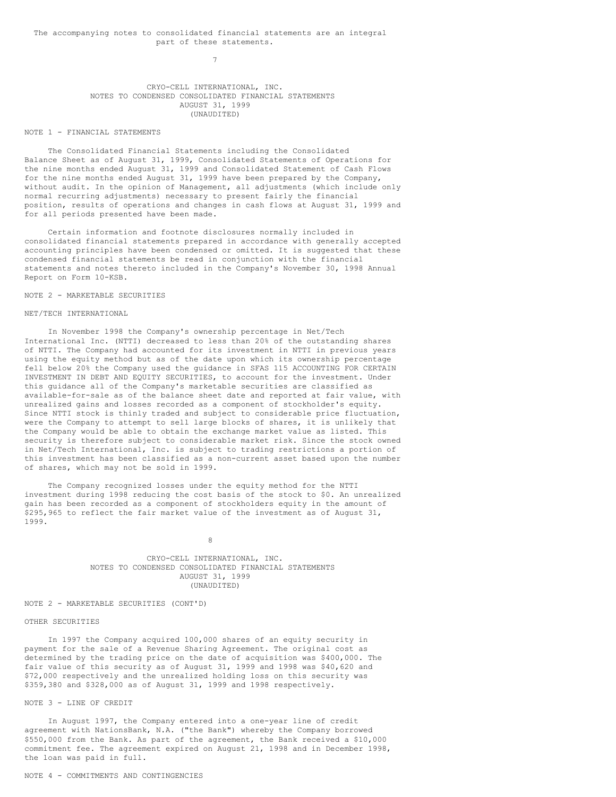7

# CRYO-CELL INTERNATIONAL, INC. NOTES TO CONDENSED CONSOLIDATED FINANCIAL STATEMENTS AUGUST 31, 1999 (UNAUDITED)

# NOTE 1 - FINANCIAL STATEMENTS

The Consolidated Financial Statements including the Consolidated Balance Sheet as of August 31, 1999, Consolidated Statements of Operations for the nine months ended August 31, 1999 and Consolidated Statement of Cash Flows for the nine months ended August 31, 1999 have been prepared by the Company, without audit. In the opinion of Management, all adjustments (which include only normal recurring adjustments) necessary to present fairly the financial position, results of operations and changes in cash flows at August 31, 1999 and for all periods presented have been made.

Certain information and footnote disclosures normally included in consolidated financial statements prepared in accordance with generally accepted accounting principles have been condensed or omitted. It is suggested that these condensed financial statements be read in conjunction with the financial statements and notes thereto included in the Company's November 30, 1998 Annual Report on Form 10-KSB.

# NOTE 2 - MARKETABLE SECURITIES

### NET/TECH INTERNATIONAL

In November 1998 the Company's ownership percentage in Net/Tech International Inc. (NTTI) decreased to less than 20% of the outstanding shares of NTTI. The Company had accounted for its investment in NTTI in previous years using the equity method but as of the date upon which its ownership percentage fell below 20% the Company used the guidance in SFAS 115 ACCOUNTING FOR CERTAIN INVESTMENT IN DEBT AND EQUITY SECURITIES, to account for the investment. Under this guidance all of the Company's marketable securities are classified as available-for-sale as of the balance sheet date and reported at fair value, with unrealized gains and losses recorded as a component of stockholder's equity. Since NTTI stock is thinly traded and subject to considerable price fluctuation, were the Company to attempt to sell large blocks of shares, it is unlikely that the Company would be able to obtain the exchange market value as listed. This security is therefore subject to considerable market risk. Since the stock owned in Net/Tech International, Inc. is subject to trading restrictions a portion of this investment has been classified as a non-current asset based upon the number of shares, which may not be sold in 1999.

The Company recognized losses under the equity method for the NTTI investment during 1998 reducing the cost basis of the stock to \$0. An unrealized gain has been recorded as a component of stockholders equity in the amount of \$295,965 to reflect the fair market value of the investment as of August 31, 1999.

8

CRYO-CELL INTERNATIONAL, INC. NOTES TO CONDENSED CONSOLIDATED FINANCIAL STATEMENTS AUGUST 31, 1999 (UNAUDITED)

# NOTE 2 - MARKETABLE SECURITIES (CONT'D)

#### OTHER SECURITIES

In 1997 the Company acquired 100,000 shares of an equity security in payment for the sale of a Revenue Sharing Agreement. The original cost as determined by the trading price on the date of acquisition was \$400,000. The fair value of this security as of August 31, 1999 and 1998 was \$40,620 and \$72,000 respectively and the unrealized holding loss on this security was \$359,380 and \$328,000 as of August 31, 1999 and 1998 respectively.

#### NOTE 3 - LINE OF CREDIT

In August 1997, the Company entered into a one-year line of credit agreement with NationsBank, N.A. ("the Bank") whereby the Company borrowed \$550,000 from the Bank. As part of the agreement, the Bank received a \$10,000 commitment fee. The agreement expired on August 21, 1998 and in December 1998, the loan was paid in full.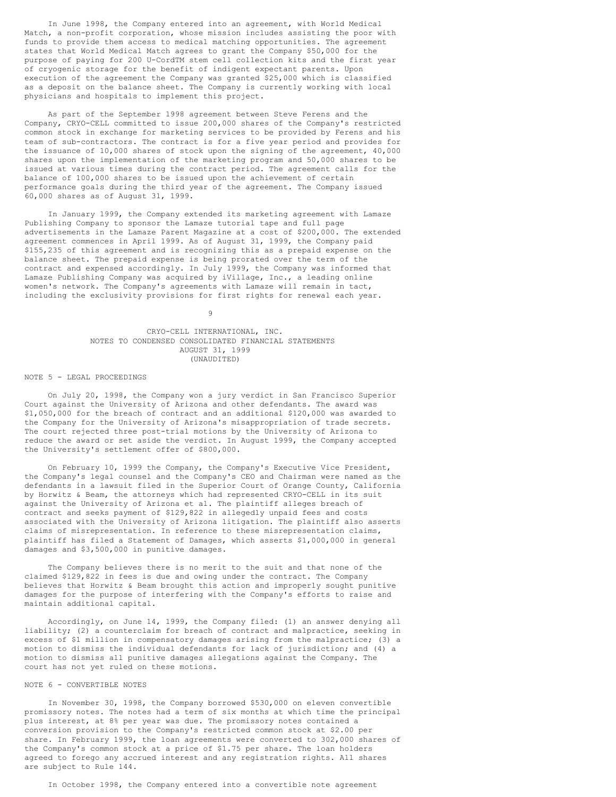In June 1998, the Company entered into an agreement, with World Medical Match, a non-profit corporation, whose mission includes assisting the poor with funds to provide them access to medical matching opportunities. The agreement states that World Medical Match agrees to grant the Company \$50,000 for the purpose of paying for 200 U-CordTM stem cell collection kits and the first year of cryogenic storage for the benefit of indigent expectant parents. Upon execution of the agreement the Company was granted \$25,000 which is classified as a deposit on the balance sheet. The Company is currently working with local physicians and hospitals to implement this project.

As part of the September 1998 agreement between Steve Ferens and the Company, CRYO-CELL committed to issue 200,000 shares of the Company's restricted common stock in exchange for marketing services to be provided by Ferens and his team of sub-contractors. The contract is for a five year period and provides for the issuance of 10,000 shares of stock upon the signing of the agreement, 40,000 shares upon the implementation of the marketing program and 50,000 shares to be issued at various times during the contract period. The agreement calls for the balance of 100,000 shares to be issued upon the achievement of certain performance goals during the third year of the agreement. The Company issued 60,000 shares as of August 31, 1999.

In January 1999, the Company extended its marketing agreement with Lamaze Publishing Company to sponsor the Lamaze tutorial tape and full page advertisements in the Lamaze Parent Magazine at a cost of \$200,000. The extended agreement commences in April 1999. As of August 31, 1999, the Company paid \$155,235 of this agreement and is recognizing this as a prepaid expense on the balance sheet. The prepaid expense is being prorated over the term of the contract and expensed accordingly. In July 1999, the Company was informed that Lamaze Publishing Company was acquired by iVillage, Inc., a leading online women's network. The Company's agreements with Lamaze will remain in tact, including the exclusivity provisions for first rights for renewal each year.

9

### CRYO-CELL INTERNATIONAL, INC. NOTES TO CONDENSED CONSOLIDATED FINANCIAL STATEMENTS AUGUST 31, 1999 (UNAUDITED)

#### NOTE 5 - LEGAL PROCEEDINGS

On July 20, 1998, the Company won a jury verdict in San Francisco Superior Court against the University of Arizona and other defendants. The award was \$1,050,000 for the breach of contract and an additional \$120,000 was awarded to the Company for the University of Arizona's misappropriation of trade secrets. The court rejected three post-trial motions by the University of Arizona to reduce the award or set aside the verdict. In August 1999, the Company accepted the University's settlement offer of \$800,000.

On February 10, 1999 the Company, the Company's Executive Vice President, the Company's legal counsel and the Company's CEO and Chairman were named as the defendants in a lawsuit filed in the Superior Court of Orange County, California by Horwitz & Beam, the attorneys which had represented CRYO-CELL in its suit against the University of Arizona et al. The plaintiff alleges breach of contract and seeks payment of \$129,822 in allegedly unpaid fees and costs associated with the University of Arizona litigation. The plaintiff also asserts claims of misrepresentation. In reference to these misrepresentation claims, plaintiff has filed a Statement of Damages, which asserts \$1,000,000 in general damages and \$3,500,000 in punitive damages.

The Company believes there is no merit to the suit and that none of the claimed \$129,822 in fees is due and owing under the contract. The Company believes that Horwitz & Beam brought this action and improperly sought punitive damages for the purpose of interfering with the Company's efforts to raise and maintain additional capital.

Accordingly, on June 14, 1999, the Company filed: (1) an answer denying all liability; (2) a counterclaim for breach of contract and malpractice, seeking in excess of \$1 million in compensatory damages arising from the malpractice; (3) a motion to dismiss the individual defendants for lack of jurisdiction; and (4) a motion to dismiss all punitive damages allegations against the Company. The court has not yet ruled on these motions.

# NOTE 6 - CONVERTIBLE NOTES

In November 30, 1998, the Company borrowed \$530,000 on eleven convertible promissory notes. The notes had a term of six months at which time the principal plus interest, at 8% per year was due. The promissory notes contained a conversion provision to the Company's restricted common stock at \$2.00 per share. In February 1999, the loan agreements were converted to 302,000 shares of the Company's common stock at a price of \$1.75 per share. The loan holders agreed to forego any accrued interest and any registration rights. All shares are subject to Rule 144.

In October 1998, the Company entered into a convertible note agreement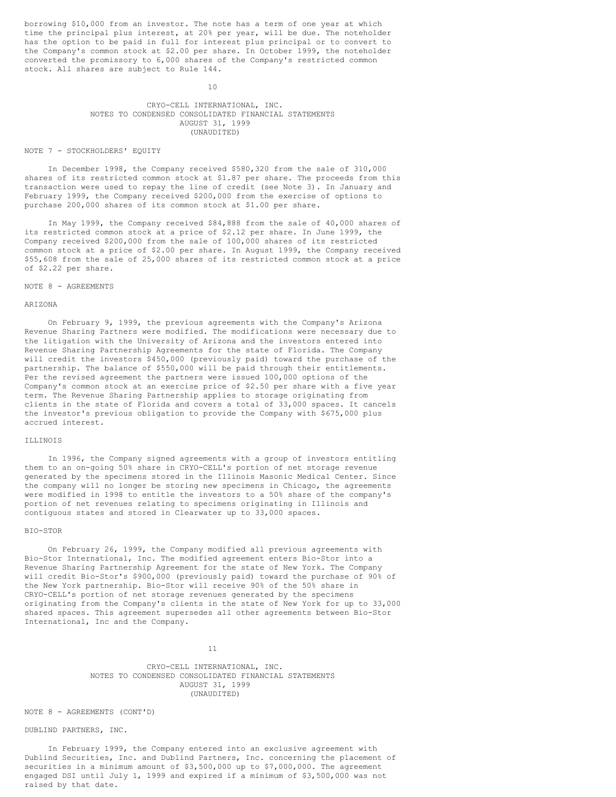borrowing \$10,000 from an investor. The note has a term of one year at which time the principal plus interest, at 20% per year, will be due. The noteholder has the option to be paid in full for interest plus principal or to convert to the Company's common stock at \$2.00 per share. In October 1999, the noteholder converted the promissory to 6,000 shares of the Company's restricted common stock. All shares are subject to Rule 144.

10

# CRYO-CELL INTERNATIONAL, INC. NOTES TO CONDENSED CONSOLIDATED FINANCIAL STATEMENTS AUGUST 31, 1999 (UNAUDITED)

#### NOTE 7 - STOCKHOLDERS' EQUITY

In December 1998, the Company received \$580,320 from the sale of 310,000 shares of its restricted common stock at \$1.87 per share. The proceeds from this transaction were used to repay the line of credit (see Note 3). In January and February 1999, the Company received \$200,000 from the exercise of options to purchase 200,000 shares of its common stock at \$1.00 per share.

In May 1999, the Company received \$84,888 from the sale of 40,000 shares of its restricted common stock at a price of \$2.12 per share. In June 1999, the Company received \$200,000 from the sale of 100,000 shares of its restricted common stock at a price of \$2.00 per share. In August 1999, the Company received \$55,608 from the sale of 25,000 shares of its restricted common stock at a price of \$2.22 per share.

### NOTE 8 - AGREEMENTS

#### ARIZONA

On February 9, 1999, the previous agreements with the Company's Arizona Revenue Sharing Partners were modified. The modifications were necessary due to the litigation with the University of Arizona and the investors entered into Revenue Sharing Partnership Agreements for the state of Florida. The Company will credit the investors \$450,000 (previously paid) toward the purchase of the partnership. The balance of \$550,000 will be paid through their entitlements. Per the revised agreement the partners were issued 100,000 options of the Company's common stock at an exercise price of \$2.50 per share with a five year term. The Revenue Sharing Partnership applies to storage originating from clients in the state of Florida and covers a total of 33,000 spaces. It cancels the investor's previous obligation to provide the Company with \$675,000 plus accrued interest.

#### ILLINOIS

In 1996, the Company signed agreements with a group of investors entitling them to an on-going 50% share in CRYO-CELL's portion of net storage revenue generated by the specimens stored in the Illinois Masonic Medical Center. Since the company will no longer be storing new specimens in Chicago, the agreements were modified in 1998 to entitle the investors to a 50% share of the company's portion of net revenues relating to specimens originating in Illinois and contiguous states and stored in Clearwater up to 33,000 spaces.

#### BIO-STOR

On February 26, 1999, the Company modified all previous agreements with Bio-Stor International, Inc. The modified agreement enters Bio-Stor into a Revenue Sharing Partnership Agreement for the state of New York. The Company will credit Bio-Stor's \$900,000 (previously paid) toward the purchase of 90% of the New York partnership. Bio-Stor will receive 90% of the 50% share in CRYO-CELL's portion of net storage revenues generated by the specimens originating from the Company's clients in the state of New York for up to 33,000 shared spaces. This agreement supersedes all other agreements between Bio-Stor International, Inc and the Company.

11

CRYO-CELL INTERNATIONAL, INC. NOTES TO CONDENSED CONSOLIDATED FINANCIAL STATEMENTS AUGUST 31, 1999 (UNAUDITED)

NOTE 8 - AGREEMENTS (CONT'D)

# DUBLIND PARTNERS, INC.

In February 1999, the Company entered into an exclusive agreement with Dublind Securities, Inc. and Dublind Partners, Inc. concerning the placement of securities in a minimum amount of \$3,500,000 up to \$7,000,000. The agreement engaged DSI until July 1, 1999 and expired if a minimum of \$3,500,000 was not raised by that date.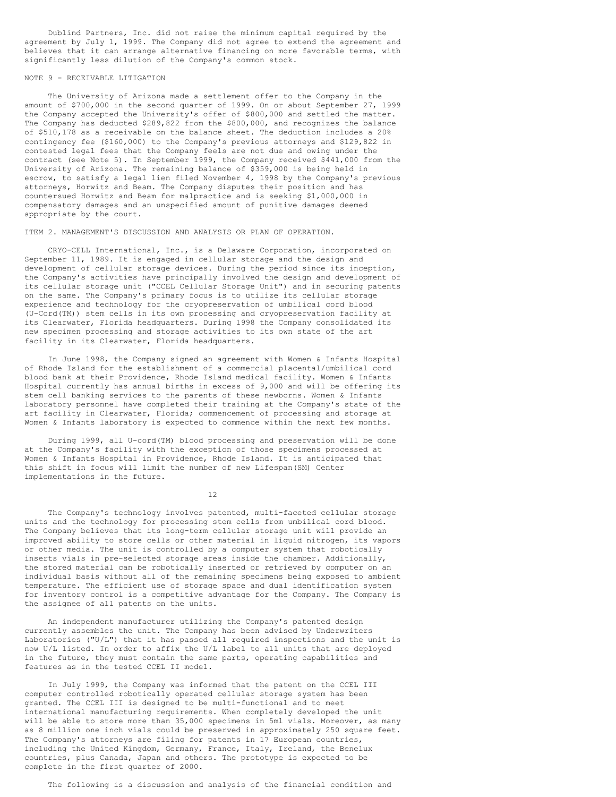Dublind Partners, Inc. did not raise the minimum capital required by the agreement by July 1, 1999. The Company did not agree to extend the agreement and believes that it can arrange alternative financing on more favorable terms, with significantly less dilution of the Company's common stock.

# NOTE 9 - RECEIVABLE LITIGATION

The University of Arizona made a settlement offer to the Company in the amount of \$700,000 in the second quarter of 1999. On or about September 27, 1999 the Company accepted the University's offer of \$800,000 and settled the matter. The Company has deducted \$289,822 from the \$800,000, and recognizes the balance of \$510,178 as a receivable on the balance sheet. The deduction includes a 20% contingency fee (\$160,000) to the Company's previous attorneys and \$129,822 in contested legal fees that the Company feels are not due and owing under the contract (see Note 5). In September 1999, the Company received \$441,000 from the University of Arizona. The remaining balance of \$359,000 is being held in escrow, to satisfy a legal lien filed November 4, 1998 by the Company's previous attorneys, Horwitz and Beam. The Company disputes their position and has countersued Horwitz and Beam for malpractice and is seeking \$1,000,000 in compensatory damages and an unspecified amount of punitive damages deemed appropriate by the court.

### ITEM 2. MANAGEMENT'S DISCUSSION AND ANALYSIS OR PLAN OF OPERATION.

CRYO-CELL International, Inc., is a Delaware Corporation, incorporated on September 11, 1989. It is engaged in cellular storage and the design and development of cellular storage devices. During the period since its inception, the Company's activities have principally involved the design and development of its cellular storage unit ("CCEL Cellular Storage Unit") and in securing patents on the same. The Company's primary focus is to utilize its cellular storage experience and technology for the cryopreservation of umbilical cord blood (U-Cord(TM)) stem cells in its own processing and cryopreservation facility at its Clearwater, Florida headquarters. During 1998 the Company consolidated its new specimen processing and storage activities to its own state of the art facility in its Clearwater, Florida headquarters.

In June 1998, the Company signed an agreement with Women & Infants Hospital of Rhode Island for the establishment of a commercial placental/umbilical cord blood bank at their Providence, Rhode Island medical facility. Women & Infants Hospital currently has annual births in excess of 9,000 and will be offering its stem cell banking services to the parents of these newborns. Women & Infants laboratory personnel have completed their training at the Company's state of the art facility in Clearwater, Florida; commencement of processing and storage at Women & Infants laboratory is expected to commence within the next few months.

During 1999, all U-cord(TM) blood processing and preservation will be done at the Company's facility with the exception of those specimens processed at Women & Infants Hospital in Providence, Rhode Island. It is anticipated that this shift in focus will limit the number of new Lifespan(SM) Center implementations in the future.

12

The Company's technology involves patented, multi-faceted cellular storage units and the technology for processing stem cells from umbilical cord blood. The Company believes that its long-term cellular storage unit will provide an improved ability to store cells or other material in liquid nitrogen, its vapors or other media. The unit is controlled by a computer system that robotically inserts vials in pre-selected storage areas inside the chamber. Additionally, the stored material can be robotically inserted or retrieved by computer on an individual basis without all of the remaining specimens being exposed to ambient temperature. The efficient use of storage space and dual identification system for inventory control is a competitive advantage for the Company. The Company is the assignee of all patents on the units.

An independent manufacturer utilizing the Company's patented design currently assembles the unit. The Company has been advised by Underwriters Laboratories ("U/L") that it has passed all required inspections and the unit is now U/L listed. In order to affix the U/L label to all units that are deployed in the future, they must contain the same parts, operating capabilities and features as in the tested CCEL II model.

In July 1999, the Company was informed that the patent on the CCEL III computer controlled robotically operated cellular storage system has been granted. The CCEL III is designed to be multi-functional and to meet international manufacturing requirements. When completely developed the unit will be able to store more than 35,000 specimens in 5ml vials. Moreover, as many as 8 million one inch vials could be preserved in approximately 250 square feet. The Company's attorneys are filing for patents in 17 European countries, including the United Kingdom, Germany, France, Italy, Ireland, the Benelux countries, plus Canada, Japan and others. The prototype is expected to be complete in the first quarter of 2000.

The following is a discussion and analysis of the financial condition and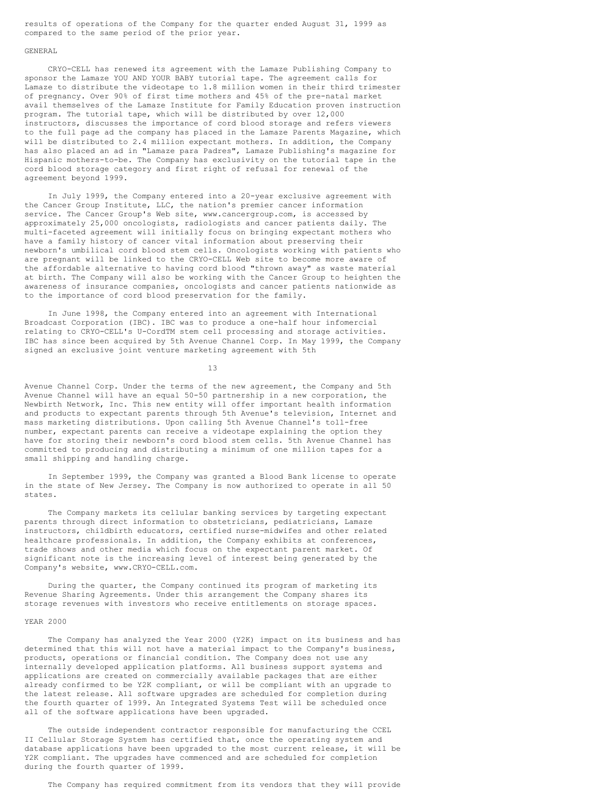results of operations of the Company for the quarter ended August 31, 1999 as compared to the same period of the prior year.

#### GENERAL

CRYO-CELL has renewed its agreement with the Lamaze Publishing Company to sponsor the Lamaze YOU AND YOUR BABY tutorial tape. The agreement calls for Lamaze to distribute the videotape to 1.8 million women in their third trimester of pregnancy. Over 90% of first time mothers and 45% of the pre-natal market avail themselves of the Lamaze Institute for Family Education proven instruction program. The tutorial tape, which will be distributed by over 12,000 instructors, discusses the importance of cord blood storage and refers viewers to the full page ad the company has placed in the Lamaze Parents Magazine, which will be distributed to 2.4 million expectant mothers. In addition, the Company has also placed an ad in "Lamaze para Padres", Lamaze Publishing's magazine for Hispanic mothers-to-be. The Company has exclusivity on the tutorial tape in the cord blood storage category and first right of refusal for renewal of the agreement beyond 1999.

In July 1999, the Company entered into a 20-year exclusive agreement with the Cancer Group Institute, LLC, the nation's premier cancer information service. The Cancer Group's Web site, www.cancergroup.com, is accessed by approximately 25,000 oncologists, radiologists and cancer patients daily. The multi-faceted agreement will initially focus on bringing expectant mothers who have a family history of cancer vital information about preserving their newborn's umbilical cord blood stem cells. Oncologists working with patients who are pregnant will be linked to the CRYO-CELL Web site to become more aware of the affordable alternative to having cord blood "thrown away" as waste material at birth. The Company will also be working with the Cancer Group to heighten the awareness of insurance companies, oncologists and cancer patients nationwide as to the importance of cord blood preservation for the family.

In June 1998, the Company entered into an agreement with International Broadcast Corporation (IBC). IBC was to produce a one-half hour infomercial relating to CRYO-CELL's U-CordTM stem cell processing and storage activities. IBC has since been acquired by 5th Avenue Channel Corp. In May 1999, the Company signed an exclusive joint venture marketing agreement with 5th

13

Avenue Channel Corp. Under the terms of the new agreement, the Company and 5th Avenue Channel will have an equal 50-50 partnership in a new corporation, the Newbirth Network, Inc. This new entity will offer important health information and products to expectant parents through 5th Avenue's television, Internet and mass marketing distributions. Upon calling 5th Avenue Channel's toll-free number, expectant parents can receive a videotape explaining the option they have for storing their newborn's cord blood stem cells. 5th Avenue Channel has committed to producing and distributing a minimum of one million tapes for a small shipping and handling charge.

In September 1999, the Company was granted a Blood Bank license to operate in the state of New Jersey. The Company is now authorized to operate in all 50 states.

The Company markets its cellular banking services by targeting expectant parents through direct information to obstetricians, pediatricians, Lamaze instructors, childbirth educators, certified nurse-midwifes and other related healthcare professionals. In addition, the Company exhibits at conferences, trade shows and other media which focus on the expectant parent market. Of significant note is the increasing level of interest being generated by the Company's website, www.CRYO-CELL.com.

During the quarter, the Company continued its program of marketing its Revenue Sharing Agreements. Under this arrangement the Company shares its storage revenues with investors who receive entitlements on storage spaces.

### YEAR 2000

The Company has analyzed the Year 2000 (Y2K) impact on its business and has determined that this will not have a material impact to the Company's business, products, operations or financial condition. The Company does not use any internally developed application platforms. All business support systems and applications are created on commercially available packages that are either already confirmed to be Y2K compliant, or will be compliant with an upgrade to the latest release. All software upgrades are scheduled for completion during the fourth quarter of 1999. An Integrated Systems Test will be scheduled once all of the software applications have been upgraded.

The outside independent contractor responsible for manufacturing the CCEL II Cellular Storage System has certified that, once the operating system and database applications have been upgraded to the most current release, it will be Y2K compliant. The upgrades have commenced and are scheduled for completion during the fourth quarter of 1999.

The Company has required commitment from its vendors that they will provide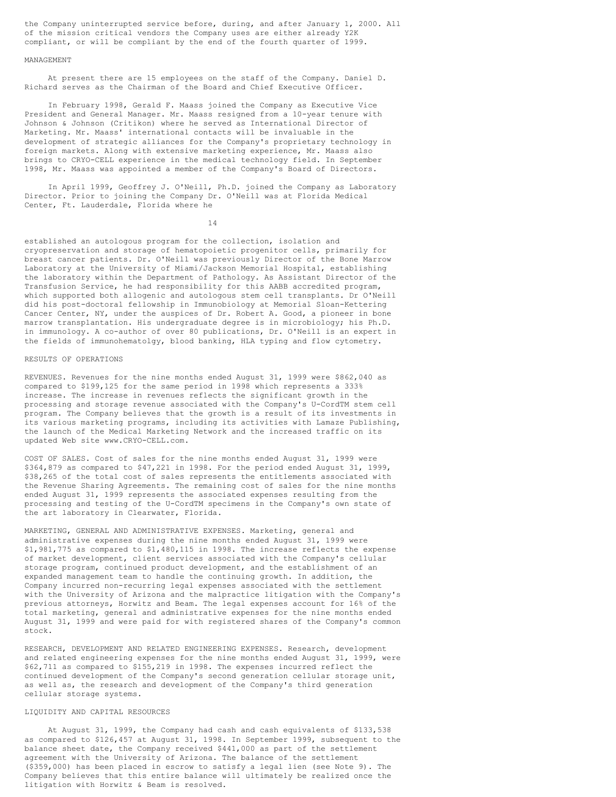the Company uninterrupted service before, during, and after January 1, 2000. All of the mission critical vendors the Company uses are either already Y2K compliant, or will be compliant by the end of the fourth quarter of 1999.

#### MANAGEMENT

At present there are 15 employees on the staff of the Company. Daniel D. Richard serves as the Chairman of the Board and Chief Executive Officer.

In February 1998, Gerald F. Maass joined the Company as Executive Vice President and General Manager. Mr. Maass resigned from a 10-year tenure with Johnson & Johnson (Critikon) where he served as International Director of Marketing. Mr. Maass' international contacts will be invaluable in the development of strategic alliances for the Company's proprietary technology in foreign markets. Along with extensive marketing experience, Mr. Maass also brings to CRYO-CELL experience in the medical technology field. In September 1998, Mr. Maass was appointed a member of the Company's Board of Directors.

In April 1999, Geoffrey J. O'Neill, Ph.D. joined the Company as Laboratory Director. Prior to joining the Company Dr. O'Neill was at Florida Medical Center, Ft. Lauderdale, Florida where he

14

established an autologous program for the collection, isolation and cryopreservation and storage of hematopoietic progenitor cells, primarily for breast cancer patients. Dr. O'Neill was previously Director of the Bone Marrow Laboratory at the University of Miami/Jackson Memorial Hospital, establishing the laboratory within the Department of Pathology. As Assistant Director of the Transfusion Service, he had responsibility for this AABB accredited program, which supported both allogenic and autologous stem cell transplants. Dr O'Neill did his post-doctoral fellowship in Immunobiology at Memorial Sloan-Kettering Cancer Center, NY, under the auspices of Dr. Robert A. Good, a pioneer in bone marrow transplantation. His undergraduate degree is in microbiology; his Ph.D. in immunology. A co-author of over 80 publications, Dr. O'Neill is an expert in the fields of immunohematolgy, blood banking, HLA typing and flow cytometry.

# RESULTS OF OPERATIONS

REVENUES. Revenues for the nine months ended August 31, 1999 were \$862,040 as compared to \$199,125 for the same period in 1998 which represents a 333% increase. The increase in revenues reflects the significant growth in the processing and storage revenue associated with the Company's U-CordTM stem cell program. The Company believes that the growth is a result of its investments in its various marketing programs, including its activities with Lamaze Publishing, the launch of the Medical Marketing Network and the increased traffic on its updated Web site www.CRYO-CELL.com.

COST OF SALES. Cost of sales for the nine months ended August 31, 1999 were \$364,879 as compared to \$47,221 in 1998. For the period ended August 31, 1999, \$38,265 of the total cost of sales represents the entitlements associated with the Revenue Sharing Agreements. The remaining cost of sales for the nine months ended August 31, 1999 represents the associated expenses resulting from the processing and testing of the U-CordTM specimens in the Company's own state of the art laboratory in Clearwater, Florida.

MARKETING, GENERAL AND ADMINISTRATIVE EXPENSES. Marketing, general and administrative expenses during the nine months ended August 31, 1999 were \$1,981,775 as compared to \$1,480,115 in 1998. The increase reflects the expense of market development, client services associated with the Company's cellular storage program, continued product development, and the establishment of an expanded management team to handle the continuing growth. In addition, the Company incurred non-recurring legal expenses associated with the settlement with the University of Arizona and the malpractice litigation with the Company's previous attorneys, Horwitz and Beam. The legal expenses account for 16% of the total marketing, general and administrative expenses for the nine months ended August 31, 1999 and were paid for with registered shares of the Company's common stock.

RESEARCH, DEVELOPMENT AND RELATED ENGINEERING EXPENSES. Research, development and related engineering expenses for the nine months ended August 31, 1999, were \$62,711 as compared to \$155,219 in 1998. The expenses incurred reflect the continued development of the Company's second generation cellular storage unit, as well as, the research and development of the Company's third generation cellular storage systems.

# LIQUIDITY AND CAPITAL RESOURCES

At August 31, 1999, the Company had cash and cash equivalents of \$133,538 as compared to \$126,457 at August 31, 1998. In September 1999, subsequent to the balance sheet date, the Company received \$441,000 as part of the settlement agreement with the University of Arizona. The balance of the settlement (\$359,000) has been placed in escrow to satisfy a legal lien (see Note 9). The Company believes that this entire balance will ultimately be realized once the litigation with Horwitz & Beam is resolved.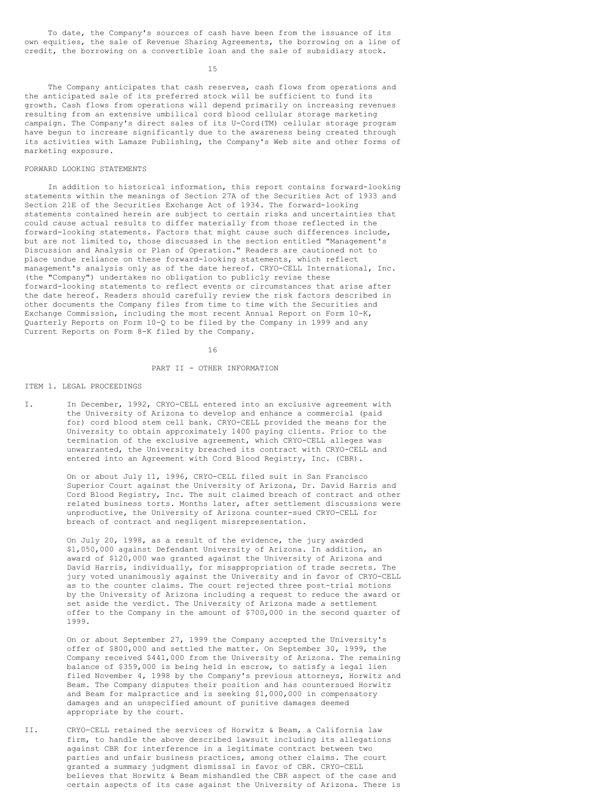To date, the Company's sources of cash have been from the issuance of its own equities, the sale of Revenue Sharing Agreements, the borrowing on a line of credit, the borrowing on a convertible loan and the sale of subsidiary stock.

15

The Company anticipates that cash reserves, cash flows from operations and the anticipated sale of its preferred stock will be sufficient to fund its growth. Cash flows from operations will depend primarily on increasing revenues resulting from an extensive umbilical cord blood cellular storage marketing campaign. The Company's direct sales of its U-Cord(TM) cellular storage program have begun to increase significantly due to the awareness being created through its activities with Lamaze Publishing, the Company's Web site and other forms of marketing exposure.

#### FORWARD LOOKING STATEMENTS

In addition to historical information, this report contains forward-looking statements within the meanings of Section 27A of the Securities Act of 1933 and Section 21E of the Securities Exchange Act of 1934. The forward-looking statements contained herein are subject to certain risks and uncertainties that could cause actual results to differ materially from those reflected in the forward-looking statements. Factors that might cause such differences include, but are not limited to, those discussed in the section entitled "Management's Discussion and Analysis or Plan of Operation." Readers are cautioned not to place undue reliance on these forward-looking statements, which reflect management's analysis only as of the date hereof. CRYO-CELL International, Inc. (the "Company") undertakes no obligation to publicly revise these forward-looking statements to reflect events or circumstances that arise after the date hereof. Readers should carefully review the risk factors described in other documents the Company files from time to time with the Securities and Exchange Commission, including the most recent Annual Report on Form 10-K, Quarterly Reports on Form 10-Q to be filed by the Company in 1999 and any Current Reports on Form 8-K filed by the Company.

16

#### PART II - OTHER INFORMATION

# ITEM 1. LEGAL PROCEEDINGS

I. In December, 1992, CRYO-CELL entered into an exclusive agreement with the University of Arizona to develop and enhance a commercial (paid for) cord blood stem cell bank. CRYO-CELL provided the means for the University to obtain approximately 1400 paying clients. Prior to the termination of the exclusive agreement, which CRYO-CELL alleges was unwarranted, the University breached its contract with CRYO-CELL and entered into an Agreement with Cord Blood Registry, Inc. (CBR).

> On or about July 11, 1996, CRYO-CELL filed suit in San Francisco Superior Court against the University of Arizona, Dr. David Harris and Cord Blood Registry, Inc. The suit claimed breach of contract and other related business torts. Months later, after settlement discussions were unproductive, the University of Arizona counter-sued CRYO-CELL for breach of contract and negligent misrepresentation.

> On July 20, 1998, as a result of the evidence, the jury awarded \$1,050,000 against Defendant University of Arizona. In addition, an award of \$120,000 was granted against the University of Arizona and David Harris, individually, for misappropriation of trade secrets. The jury voted unanimously against the University and in favor of CRYO-CELL as to the counter claims. The court rejected three post-trial motions by the University of Arizona including a request to reduce the award or set aside the verdict. The University of Arizona made a settlement offer to the Company in the amount of \$700,000 in the second quarter of 1999.

> On or about September 27, 1999 the Company accepted the University's offer of \$800,000 and settled the matter. On September 30, 1999, the Company received \$441,000 from the University of Arizona. The remaining balance of \$359,000 is being held in escrow, to satisfy a legal lien filed November 4, 1998 by the Company's previous attorneys, Horwitz and Beam. The Company disputes their position and has countersued Horwitz and Beam for malpractice and is seeking \$1,000,000 in compensatory damages and an unspecified amount of punitive damages deemed appropriate by the court.

II. CRYO-CELL retained the services of Horwitz & Beam, a California law firm, to handle the above described lawsuit including its allegations against CBR for interference in a legitimate contract between two parties and unfair business practices, among other claims. The court granted a summary judgment dismissal in favor of CBR. CRYO-CELL believes that Horwitz & Beam mishandled the CBR aspect of the case and certain aspects of its case against the University of Arizona. There is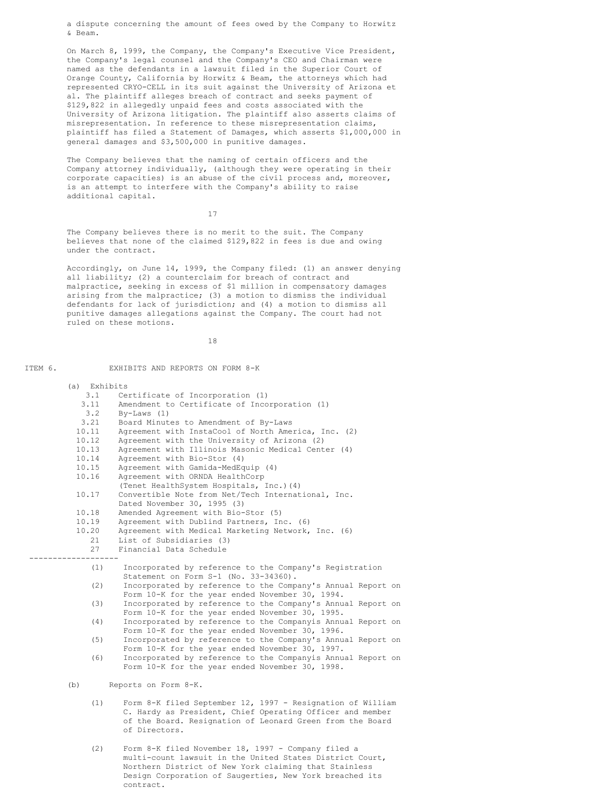a dispute concerning the amount of fees owed by the Company to Horwitz & Beam.

On March 8, 1999, the Company, the Company's Executive Vice President, the Company's legal counsel and the Company's CEO and Chairman were named as the defendants in a lawsuit filed in the Superior Court of Orange County, California by Horwitz & Beam, the attorneys which had represented CRYO-CELL in its suit against the University of Arizona et al. The plaintiff alleges breach of contract and seeks payment of \$129,822 in allegedly unpaid fees and costs associated with the University of Arizona litigation. The plaintiff also asserts claims of misrepresentation. In reference to these misrepresentation claims, plaintiff has filed a Statement of Damages, which asserts \$1,000,000 in general damages and \$3,500,000 in punitive damages.

The Company believes that the naming of certain officers and the Company attorney individually, (although they were operating in their corporate capacities) is an abuse of the civil process and, moreover, is an attempt to interfere with the Company's ability to raise additional capital.

17

The Company believes there is no merit to the suit. The Company believes that none of the claimed \$129,822 in fees is due and owing under the contract.

Accordingly, on June 14, 1999, the Company filed: (1) an answer denying all liability; (2) a counterclaim for breach of contract and malpractice, seeking in excess of \$1 million in compensatory damages arising from the malpractice; (3) a motion to dismiss the individual defendants for lack of jurisdiction; and (4) a motion to dismiss all punitive damages allegations against the Company. The court had not ruled on these motions.

18

ITEM 6. EXHIBITS AND REPORTS ON FORM 8-K

| (a) Exhibits |                                                                                                  |  |
|--------------|--------------------------------------------------------------------------------------------------|--|
| 3.1          | Certificate of Incorporation (1)                                                                 |  |
| 3.11         | Amendment to Certificate of Incorporation (1)                                                    |  |
| 3.2          | $By-Laws (1)$                                                                                    |  |
| 3.21         | Board Minutes to Amendment of By-Laws                                                            |  |
| 10.11        | Agreement with InstaCool of North America, Inc. (2)                                              |  |
| 10.12        | Agreement with the University of Arizona (2)                                                     |  |
| 10.13        | Agreement with Illinois Masonic Medical Center (4)                                               |  |
| 10.14        | Agreement with Bio-Stor (4)                                                                      |  |
| 10.15        | Agreement with Gamida-MedEquip (4)                                                               |  |
| 10.16        | Agreement with ORNDA HealthCorp                                                                  |  |
|              | (Tenet HealthSystem Hospitals, Inc.) (4)                                                         |  |
| 10.17        | Convertible Note from Net/Tech International, Inc.                                               |  |
|              | Dated November 30, 1995 (3)                                                                      |  |
| 10.18        | Amended Agreement with Bio-Stor (5)                                                              |  |
| 10.19        | Agreement with Dublind Partners, Inc. (6)                                                        |  |
| 10.20        | Agreement with Medical Marketing Network, Inc. (6)                                               |  |
| 21           | List of Subsidiaries (3)                                                                         |  |
| 27           | Financial Data Schedule                                                                          |  |
|              |                                                                                                  |  |
| (1)          | Incorporated by reference to the Company's Registration<br>Statement on Form S-1 (No. 33-34360). |  |
| (2)          | Incorporated by reference to the Company's Annual Report on                                      |  |
|              | Form 10-K for the year ended November 30, 1994.                                                  |  |
| (3)          | Incorporated by reference to the Company's Annual Report on                                      |  |
|              | Form 10-K for the year ended November 30, 1995.                                                  |  |
| (4)          | Incorporated by reference to the Companyis Annual Report on                                      |  |
|              | Form 10-K for the year ended November 30, 1996.                                                  |  |
| (5)          | Incorporated by reference to the Company's Annual Report on                                      |  |
|              | Form 10-K for the year ended November 30, 1997.                                                  |  |
| (6)          | Incorporated by reference to the Companyis Annual Report on                                      |  |
|              | Form 10-K for the year ended November 30, 1998.                                                  |  |
| (b)          | Reports on Form 8-K.                                                                             |  |
|              |                                                                                                  |  |
| (1)          | Form 8-K filed September 12, 1997 - Resignation of William                                       |  |
|              | C. Hardy as President, Chief Operating Officer and member                                        |  |
|              | of the Board. Resignation of Leonard Green from the Board                                        |  |
|              | of Directors.                                                                                    |  |

(2) Form 8-K filed November 18, 1997 - Company filed a multi-count lawsuit in the United States District Court, Northern District of New York claiming that Stainless Design Corporation of Saugerties, New York breached its contract.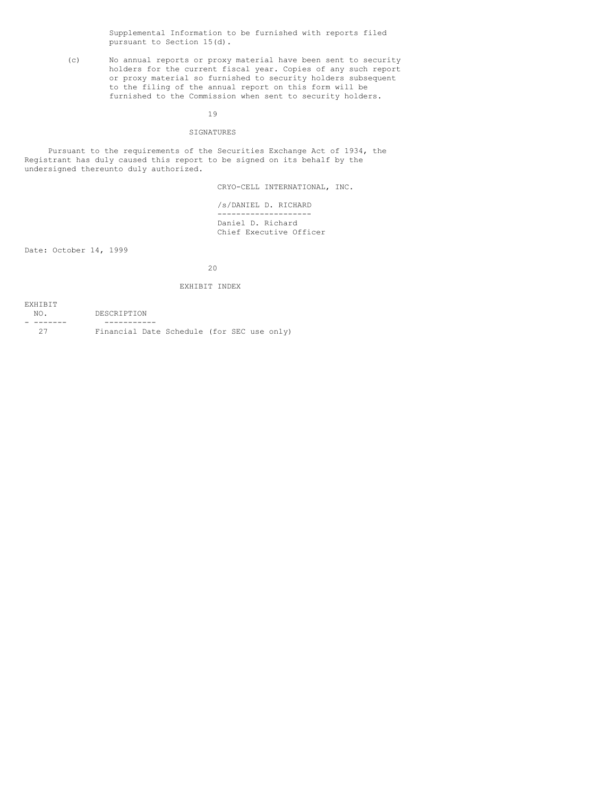Supplemental Information to be furnished with reports filed pursuant to Section 15(d).

(c) No annual reports or proxy material have been sent to security holders for the current fiscal year. Copies of any such report or proxy material so furnished to security holders subsequent to the filing of the annual report on this form will be furnished to the Commission when sent to security holders.

19

# SIGNATURES

Pursuant to the requirements of the Securities Exchange Act of 1934, the Registrant has duly caused this report to be signed on its behalf by the undersigned thereunto duly authorized.

CRYO-CELL INTERNATIONAL, INC.

/s/DANIEL D. RICHARD -------------------- Daniel D. Richard Chief Executive Officer

Date: October 14, 1999

20

# EXHIBIT INDEX

| <b>EXHIBIT</b>  |                                            |
|-----------------|--------------------------------------------|
| NO <sub>1</sub> | DESCRIPTION                                |
|                 |                                            |
| フフ              | Financial Date Schedule (for SEC use only) |